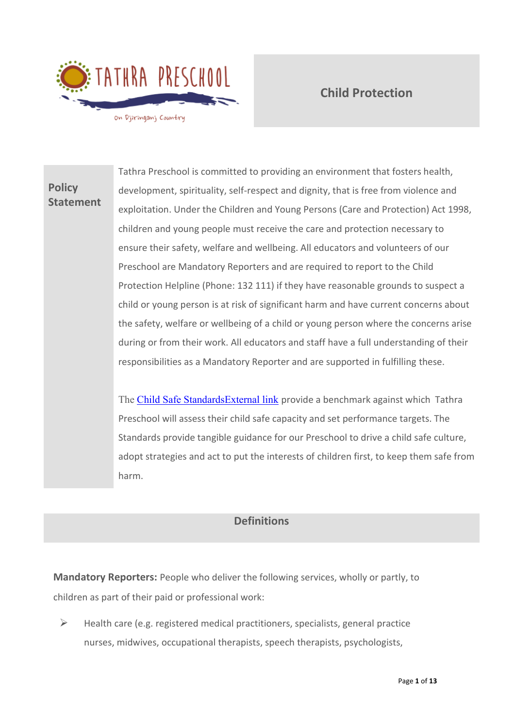

# **Child Protection**

# **Policy Statement**

Tathra Preschool is committed to providing an environment that fosters health, development, spirituality, self-respect and dignity, that is free from violence and exploitation. Under the Children and Young Persons (Care and Protection) Act 1998, children and young people must receive the care and protection necessary to ensure their safety, welfare and wellbeing. All educators and volunteers of our Preschool are Mandatory Reporters and are required to report to the Child Protection Helpline (Phone: 132 111) if they have reasonable grounds to suspect a child or young person is at risk of significant harm and have current concerns about the safety, welfare or wellbeing of a child or young person where the concerns arise during or from their work. All educators and staff have a full understanding of their responsibilities as a Mandatory Reporter and are supported in fulfilling these.

The [Child Safe StandardsExternal link](https://www.kidsguardian.nsw.gov.au/child-safe-organisations/training-and-resources/child-safe-standards) provide a benchmark against which Tathra Preschool will assess their child safe capacity and set performance targets. The Standards provide tangible guidance for our Preschool to drive a child safe culture, adopt strategies and act to put the interests of children first, to keep them safe from harm.

# **Definitions**

**Mandatory Reporters:** People who deliver the following services, wholly or partly, to children as part of their paid or professional work:

 $\triangleright$  Health care (e.g. registered medical practitioners, specialists, general practice nurses, midwives, occupational therapists, speech therapists, psychologists,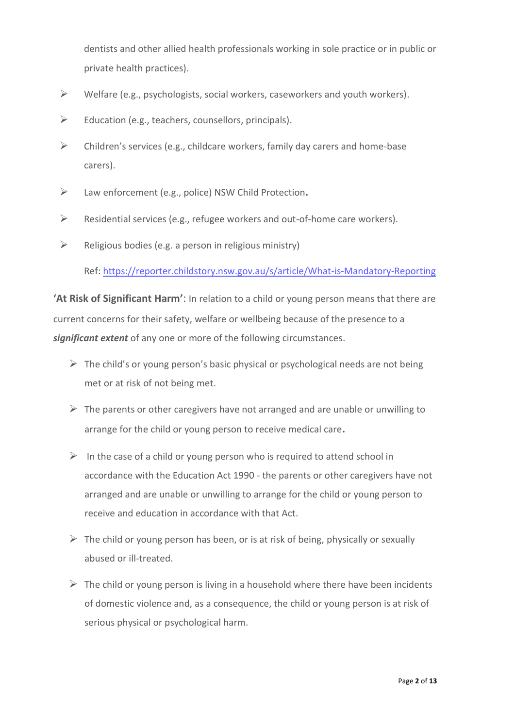dentists and other allied health professionals working in sole practice or in public or private health practices).

- ➢ Welfare (e.g., psychologists, social workers, caseworkers and youth workers).
- $\triangleright$  Education (e.g., teachers, counsellors, principals).
- $\triangleright$  Children's services (e.g., childcare workers, family day carers and home-base carers).
- ➢ Law enforcement (e.g., police) NSW Child Protection**.**
- $\triangleright$  Residential services (e.g., refugee workers and out-of-home care workers).
- $\triangleright$  Religious bodies (e.g. a person in religious ministry)

Ref:<https://reporter.childstory.nsw.gov.au/s/article/What-is-Mandatory-Reporting>

**'At Risk of Significant Harm'**: In relation to a child or young person means that there are current concerns for their safety, welfare or wellbeing because of the presence to a *significant extent* of any one or more of the following circumstances.

- $\triangleright$  The child's or young person's basic physical or psychological needs are not being met or at risk of not being met.
- $\triangleright$  The parents or other caregivers have not arranged and are unable or unwilling to arrange for the child or young person to receive medical care**.**
- $\triangleright$  In the case of a child or young person who is required to attend school in accordance with the Education Act 1990 - the parents or other caregivers have not arranged and are unable or unwilling to arrange for the child or young person to receive and education in accordance with that Act.
- $\triangleright$  The child or young person has been, or is at risk of being, physically or sexually abused or ill-treated.
- $\triangleright$  The child or young person is living in a household where there have been incidents of domestic violence and, as a consequence, the child or young person is at risk of serious physical or psychological harm.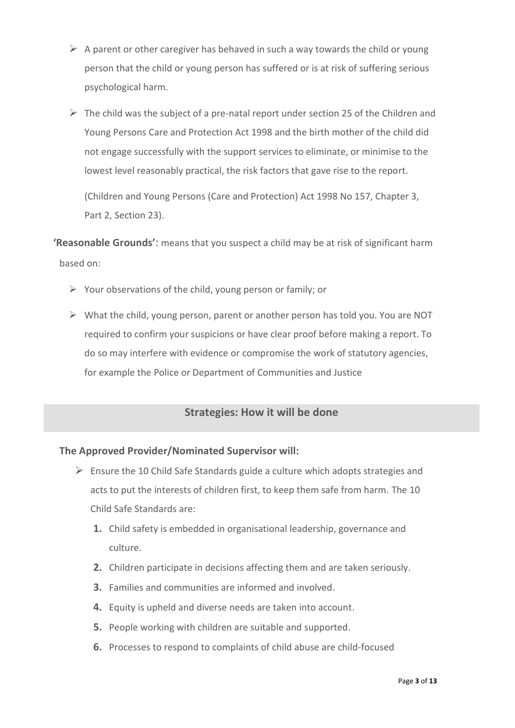- $\triangleright$  A parent or other caregiver has behaved in such a way towards the child or young person that the child or young person has suffered or is at risk of suffering serious psychological harm.
- $\triangleright$  The child was the subject of a pre-natal report under section 25 of the Children and Young Persons Care and Protection Act 1998 and the birth mother of the child did not engage successfully with the support services to eliminate, or minimise to the lowest level reasonably practical, the risk factors that gave rise to the report.

(Children and Young Persons (Care and Protection) Act 1998 No 157, Chapter 3, Part 2, Section 23).

**'Reasonable Grounds'**: means that you suspect a child may be at risk of significant harm based on:

- $\triangleright$  Your observations of the child, young person or family; or
- $\triangleright$  What the child, young person, parent or another person has told you. You are NOT required to confirm your suspicions or have clear proof before making a report. To do so may interfere with evidence or compromise the work of statutory agencies, for example the Police or Department of Communities and Justice

## **Strategies: How it will be done**

### **The Approved Provider/Nominated Supervisor will:**

- $\triangleright$  Ensure the 10 Child Safe Standards guide a culture which adopts strategies and acts to put the interests of children first, to keep them safe from harm. The 10 Child Safe Standards are:
	- **1.** Child safety is embedded in organisational leadership, governance and culture.
	- **2.** Children participate in decisions affecting them and are taken seriously.
	- **3.** Families and communities are informed and involved.
	- **4.** Equity is upheld and diverse needs are taken into account.
	- **5.** People working with children are suitable and supported.
	- **6.** Processes to respond to complaints of child abuse are child-focused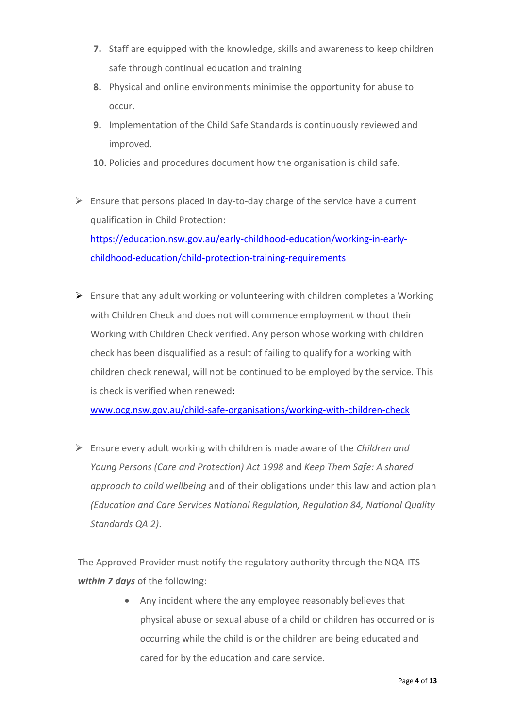- **7.** Staff are equipped with the knowledge, skills and awareness to keep children safe through continual education and training
- **8.** Physical and online environments minimise the opportunity for abuse to occur.
- **9.** Implementation of the Child Safe Standards is continuously reviewed and improved.
- **10.** Policies and procedures document how the organisation is child safe.
- $\triangleright$  Ensure that persons placed in day-to-day charge of the service have a current qualification in Child Protection:

[https://education.nsw.gov.au/early-childhood-education/working-in-early](https://education.nsw.gov.au/early-childhood-education/working-in-early-childhood-education/child-protection-training-requirements)[childhood-education/child-protection-training-requirements](https://education.nsw.gov.au/early-childhood-education/working-in-early-childhood-education/child-protection-training-requirements)

 $\triangleright$  Ensure that any adult working or volunteering with children completes a Working with Children Check and does not will commence employment without their Working with Children Check verified. Any person whose working with children check has been disqualified as a result of failing to qualify for a working with children check renewal, will not be continued to be employed by the service. This is check is verified when renewed:

[www.ocg.nsw.gov.au/child-safe-organisations/working-with-children-check](http://www.ocg.nsw.gov.au/child-safe-organisations/working-with-children-check)

➢ Ensure every adult working with children is made aware of the *Children and Young Persons (Care and Protection) Act 1998* and *Keep Them Safe: A shared approach to child wellbeing* and of their obligations under this law and action plan *(Education and Care Services National Regulation, Regulation 84, National Quality Standards QA 2)*.

The Approved Provider must notify the regulatory authority through the NQA-ITS *within 7 days* of the following:

> • Any incident where the any employee reasonably believes that physical abuse or sexual abuse of a child or children has occurred or is occurring while the child is or the children are being educated and cared for by the education and care service.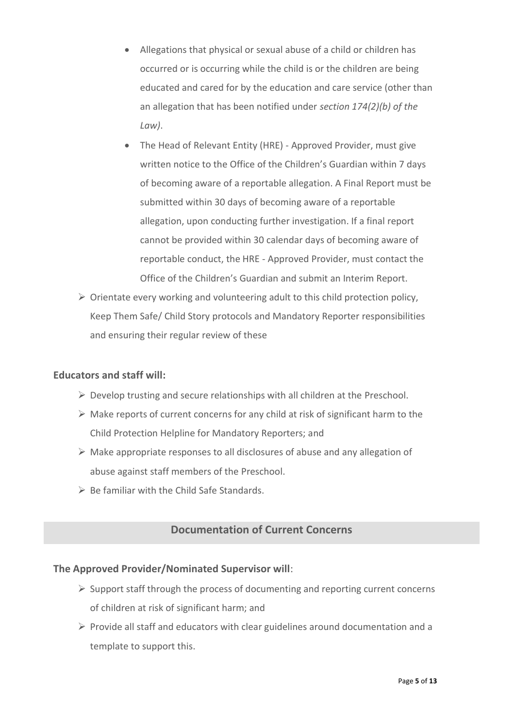- Allegations that physical or sexual abuse of a child or children has occurred or is occurring while the child is or the children are being educated and cared for by the education and care service (other than an allegation that has been notified under *section 174(2)(b) of the Law)*.
- The Head of Relevant Entity (HRE) Approved Provider, must give written notice to the Office of the Children's Guardian within 7 days of becoming aware of a reportable allegation. A Final Report must be submitted within 30 days of becoming aware of a reportable allegation, upon conducting further investigation. If a final report cannot be provided within 30 calendar days of becoming aware of reportable conduct, the HRE - Approved Provider, must contact the Office of the Children's Guardian and submit an Interim Report.
- $\triangleright$  Orientate every working and volunteering adult to this child protection policy, Keep Them Safe/ Child Story protocols and Mandatory Reporter responsibilities and ensuring their regular review of these

#### **Educators and staff will:**

- $\triangleright$  Develop trusting and secure relationships with all children at the Preschool.
- $\triangleright$  Make reports of current concerns for any child at risk of significant harm to the Child Protection Helpline for Mandatory Reporters; and
- $\triangleright$  Make appropriate responses to all disclosures of abuse and any allegation of abuse against staff members of the Preschool.
- $\triangleright$  Be familiar with the Child Safe Standards.

### **Documentation of Current Concerns**

#### **The Approved Provider/Nominated Supervisor will**:

- $\triangleright$  Support staff through the process of documenting and reporting current concerns of children at risk of significant harm; and
- ➢ Provide all staff and educators with clear guidelines around documentation and a template to support this.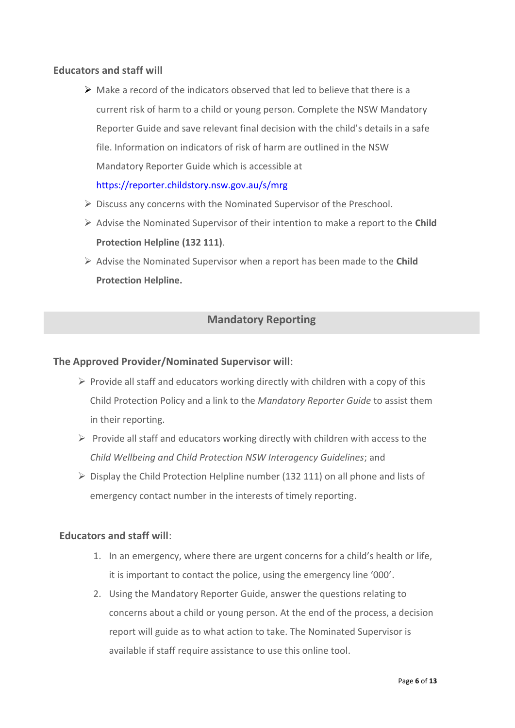#### **Educators and staff will**

- $\triangleright$  Make a record of the indicators observed that led to believe that there is a current risk of harm to a child or young person. Complete the NSW Mandatory Reporter Guide and save relevant final decision with the child's details in a safe file. Information on indicators of risk of harm are outlined in the NSW Mandatory Reporter Guide which is accessible at <https://reporter.childstory.nsw.gov.au/s/mrg>
- $\triangleright$  Discuss any concerns with the Nominated Supervisor of the Preschool.
- ➢ Advise the Nominated Supervisor of their intention to make a report to the **Child Protection Helpline (132 111)**.
- ➢ Advise the Nominated Supervisor when a report has been made to the **Child Protection Helpline.**

### **Mandatory Reporting**

#### **The Approved Provider/Nominated Supervisor will**:

- $\triangleright$  Provide all staff and educators working directly with children with a copy of this Child Protection Policy and a link to the *Mandatory Reporter Guide* to assist them in their reporting.
- $\triangleright$  Provide all staff and educators working directly with children with access to the *Child Wellbeing and Child Protection NSW Interagency Guidelines*; and
- $\triangleright$  Display the Child Protection Helpline number (132 111) on all phone and lists of emergency contact number in the interests of timely reporting.

#### **Educators and staff will**:

- 1. In an emergency, where there are urgent concerns for a child's health or life, it is important to contact the police, using the emergency line '000'.
- 2. Using the Mandatory Reporter Guide, answer the questions relating to concerns about a child or young person. At the end of the process, a decision report will guide as to what action to take. The Nominated Supervisor is available if staff require assistance to use this online tool.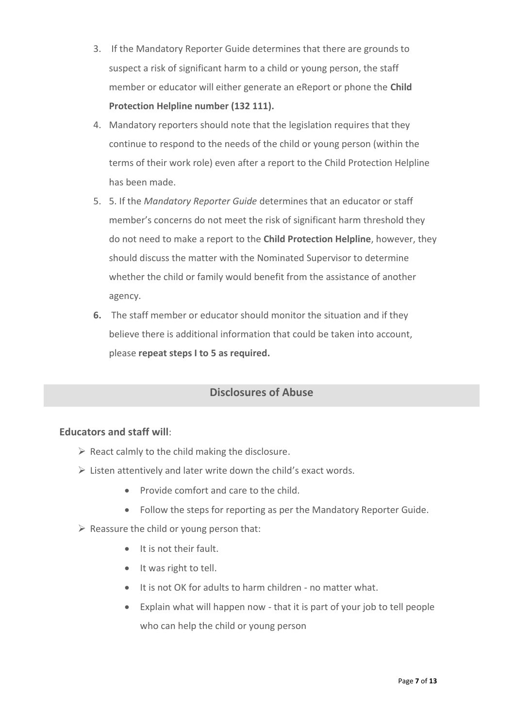- 3. If the Mandatory Reporter Guide determines that there are grounds to suspect a risk of significant harm to a child or young person, the staff member or educator will either generate an eReport or phone the **Child Protection Helpline number (132 111).**
- 4. Mandatory reporters should note that the legislation requires that they continue to respond to the needs of the child or young person (within the terms of their work role) even after a report to the Child Protection Helpline has been made.
- 5. 5. If the *Mandatory Reporter Guide* determines that an educator or staff member's concerns do not meet the risk of significant harm threshold they do not need to make a report to the **Child Protection Helpline**, however, they should discuss the matter with the Nominated Supervisor to determine whether the child or family would benefit from the assistance of another agency.
- **6.** The staff member or educator should monitor the situation and if they believe there is additional information that could be taken into account, please **repeat steps I to 5 as required.**

## **Disclosures of Abuse**

### **Educators and staff will**:

- $\triangleright$  React calmly to the child making the disclosure.
- $\triangleright$  Listen attentively and later write down the child's exact words.
	- Provide comfort and care to the child.
	- Follow the steps for reporting as per the Mandatory Reporter Guide.
- $\triangleright$  Reassure the child or young person that:
	- It is not their fault.
	- It was right to tell.
	- It is not OK for adults to harm children no matter what.
	- Explain what will happen now that it is part of your job to tell people who can help the child or young person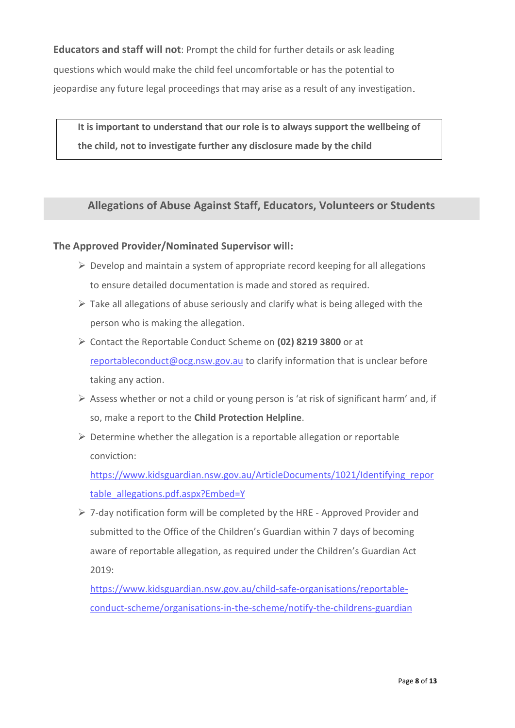**Educators and staff will not**: Prompt the child for further details or ask leading questions which would make the child feel uncomfortable or has the potential to jeopardise any future legal proceedings that may arise as a result of any investigation.

**It is important to understand that our role is to always support the wellbeing of the child, not to investigate further any disclosure made by the child**

### **Allegations of Abuse Against Staff, Educators, Volunteers or Students**

#### **The Approved Provider/Nominated Supervisor will:**

- $\triangleright$  Develop and maintain a system of appropriate record keeping for all allegations to ensure detailed documentation is made and stored as required.
- $\triangleright$  Take all allegations of abuse seriously and clarify what is being alleged with the person who is making the allegation.
- ➢ Contact the Reportable Conduct Scheme on **(02) 8219 3800** or at [reportableconduct@ocg.nsw.gov.au](mailto:reportableconduct@ocg.nsw.gov.au) to clarify information that is unclear before taking any action.
- ➢ Assess whether or not a child or young person is 'at risk of significant harm' and, if so, make a report to the **Child Protection Helpline**.
- $\triangleright$  Determine whether the allegation is a reportable allegation or reportable conviction:

[https://www.kidsguardian.nsw.gov.au/ArticleDocuments/1021/Identifying\\_repor](https://www.kidsguardian.nsw.gov.au/ArticleDocuments/1021/Identifying_reportable_allegations.pdf.aspx?Embed=Y) [table\\_allegations.pdf.aspx?Embed=Y](https://www.kidsguardian.nsw.gov.au/ArticleDocuments/1021/Identifying_reportable_allegations.pdf.aspx?Embed=Y)

➢ 7-day notification form will be completed by the HRE - Approved Provider and submitted to the Office of the Children's Guardian within 7 days of becoming aware of reportable allegation, as required under the Children's Guardian Act 2019:

[https://www.kidsguardian.nsw.gov.au/child-safe-organisations/reportable](https://www.kidsguardian.nsw.gov.au/child-safe-organisations/reportable-conduct-scheme/organisations-in-the-scheme/notify-the-childrens-guardian)[conduct-scheme/organisations-in-the-scheme/notify-the-childrens-guardian](https://www.kidsguardian.nsw.gov.au/child-safe-organisations/reportable-conduct-scheme/organisations-in-the-scheme/notify-the-childrens-guardian)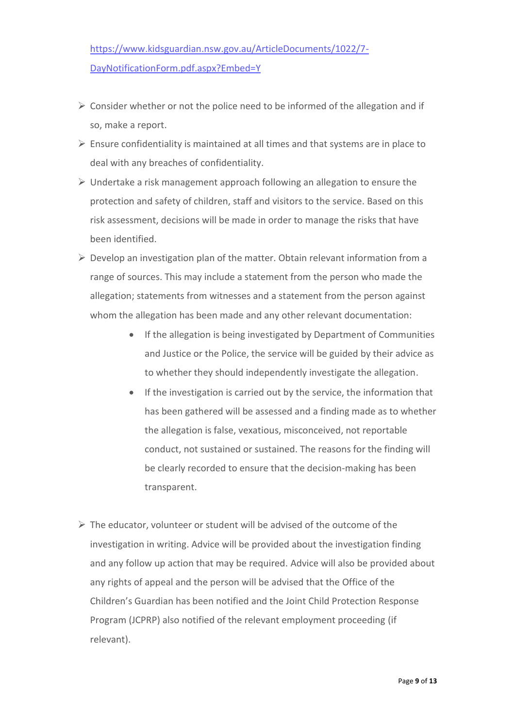[https://www.kidsguardian.nsw.gov.au/ArticleDocuments/1022/7-](https://www.kidsguardian.nsw.gov.au/ArticleDocuments/1022/7-DayNotificationForm.pdf.aspx?Embed=Y) [DayNotificationForm.pdf.aspx?Embed=Y](https://www.kidsguardian.nsw.gov.au/ArticleDocuments/1022/7-DayNotificationForm.pdf.aspx?Embed=Y)

- $\triangleright$  Consider whether or not the police need to be informed of the allegation and if so, make a report.
- ➢ Ensure confidentiality is maintained at all times and that systems are in place to deal with any breaches of confidentiality.
- ➢ Undertake a risk management approach following an allegation to ensure the protection and safety of children, staff and visitors to the service. Based on this risk assessment, decisions will be made in order to manage the risks that have been identified.
- $\triangleright$  Develop an investigation plan of the matter. Obtain relevant information from a range of sources. This may include a statement from the person who made the allegation; statements from witnesses and a statement from the person against whom the allegation has been made and any other relevant documentation:
	- If the allegation is being investigated by Department of Communities and Justice or the Police, the service will be guided by their advice as to whether they should independently investigate the allegation.
	- If the investigation is carried out by the service, the information that has been gathered will be assessed and a finding made as to whether the allegation is false, vexatious, misconceived, not reportable conduct, not sustained or sustained. The reasons for the finding will be clearly recorded to ensure that the decision-making has been transparent.
- ➢ The educator, volunteer or student will be advised of the outcome of the investigation in writing. Advice will be provided about the investigation finding and any follow up action that may be required. Advice will also be provided about any rights of appeal and the person will be advised that the Office of the Children's Guardian has been notified and the Joint Child Protection Response Program (JCPRP) also notified of the relevant employment proceeding (if relevant).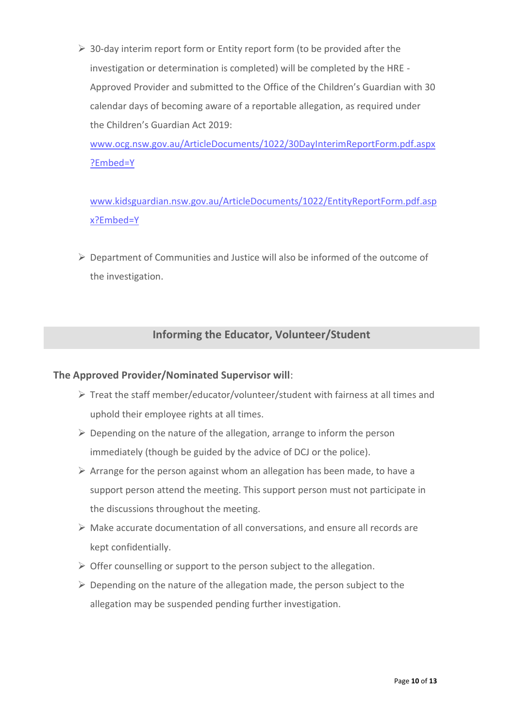$\geq$  30-day interim report form or Entity report form (to be provided after the investigation or determination is completed) will be completed by the HRE - Approved Provider and submitted to the Office of the Children's Guardian with 30 calendar days of becoming aware of a reportable allegation, as required under the Children's Guardian Act 2019:

[www.ocg.nsw.gov.au/ArticleDocuments/1022/30DayInterimReportForm.pdf.aspx](http://www.ocg.nsw.gov.au/ArticleDocuments/1022/30DayInterimReportForm.pdf.aspx?Embed=Y) [?Embed=Y](http://www.ocg.nsw.gov.au/ArticleDocuments/1022/30DayInterimReportForm.pdf.aspx?Embed=Y)

[www.kidsguardian.nsw.gov.au/ArticleDocuments/1022/EntityReportForm.pdf.asp](http://www.kidsguardian.nsw.gov.au/ArticleDocuments/1022/EntityReportForm.pdf.aspx?Embed=Y) [x?Embed=Y](http://www.kidsguardian.nsw.gov.au/ArticleDocuments/1022/EntityReportForm.pdf.aspx?Embed=Y)

 $\triangleright$  Department of Communities and Justice will also be informed of the outcome of the investigation.

## **Informing the Educator, Volunteer/Student**

#### **The Approved Provider/Nominated Supervisor will**:

- ➢ Treat the staff member/educator/volunteer/student with fairness at all times and uphold their employee rights at all times.
- $\triangleright$  Depending on the nature of the allegation, arrange to inform the person immediately (though be guided by the advice of DCJ or the police).
- ➢ Arrange for the person against whom an allegation has been made, to have a support person attend the meeting. This support person must not participate in the discussions throughout the meeting.
- $\triangleright$  Make accurate documentation of all conversations, and ensure all records are kept confidentially.
- ➢ Offer counselling or support to the person subject to the allegation.
- $\triangleright$  Depending on the nature of the allegation made, the person subject to the allegation may be suspended pending further investigation.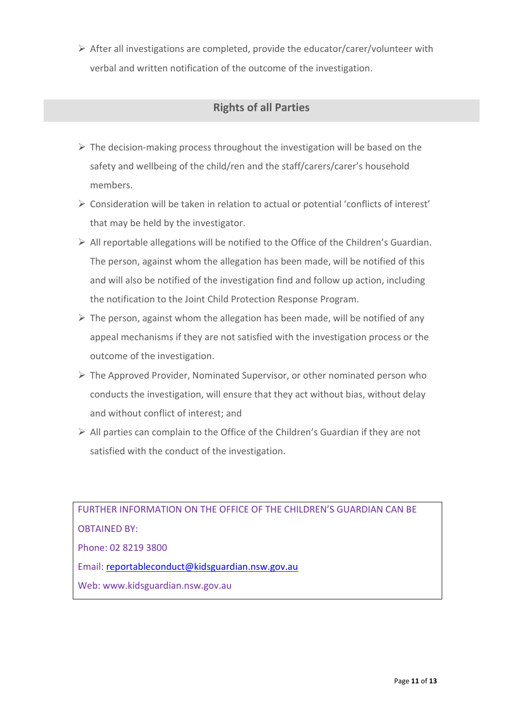➢ After all investigations are completed, provide the educator/carer/volunteer with verbal and written notification of the outcome of the investigation.

### **Rights of all Parties**

- $\triangleright$  The decision-making process throughout the investigation will be based on the safety and wellbeing of the child/ren and the staff/carers/carer's household members.
- ➢ Consideration will be taken in relation to actual or potential 'conflicts of interest' that may be held by the investigator.
- $\triangleright$  All reportable allegations will be notified to the Office of the Children's Guardian. The person, against whom the allegation has been made, will be notified of this and will also be notified of the investigation find and follow up action, including the notification to the Joint Child Protection Response Program.
- $\triangleright$  The person, against whom the allegation has been made, will be notified of any appeal mechanisms if they are not satisfied with the investigation process or the outcome of the investigation.
- $\triangleright$  The Approved Provider, Nominated Supervisor, or other nominated person who conducts the investigation, will ensure that they act without bias, without delay and without conflict of interest; and
- $\triangleright$  All parties can complain to the Office of the Children's Guardian if they are not satisfied with the conduct of the investigation.

FURTHER INFORMATION ON THE OFFICE OF THE CHILDREN'S GUARDIAN CAN BE

OBTAINED BY:

Phone: 02 8219 3800

Email: [reportableconduct@kidsguardian.nsw.gov.au](mailto:reportableconduct@kidsguardian.nsw.gov.au)

Web: www.kidsguardian.nsw.gov.au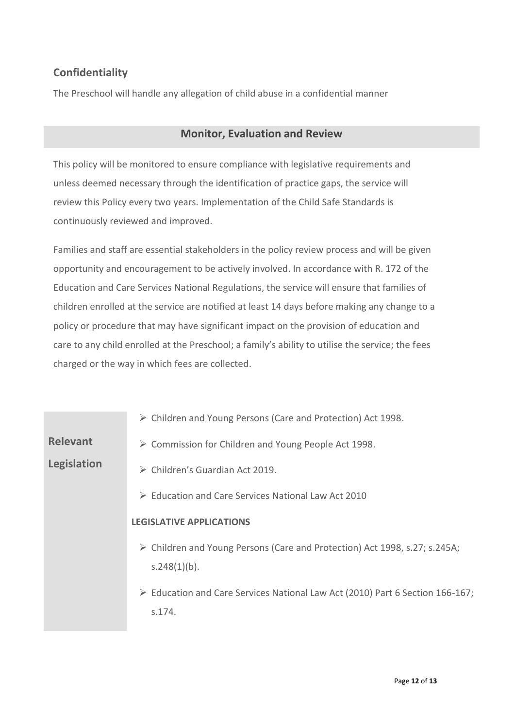## **Confidentiality**

The Preschool will handle any allegation of child abuse in a confidential manner

#### **Monitor, Evaluation and Review**

This policy will be monitored to ensure compliance with legislative requirements and unless deemed necessary through the identification of practice gaps, the service will review this Policy every two years. Implementation of the Child Safe Standards is continuously reviewed and improved.

Families and staff are essential stakeholders in the policy review process and will be given opportunity and encouragement to be actively involved. In accordance with R. 172 of the Education and Care Services National Regulations, the service will ensure that families of children enrolled at the service are notified at least 14 days before making any change to a policy or procedure that may have significant impact on the provision of education and care to any child enrolled at the Preschool; a family's ability to utilise the service; the fees charged or the way in which fees are collected.

➢ Children and Young Persons (Care and Protection) Act 1998.

**Relevant** 

➢ Commission for Children and Young People Act 1998.

**Legislation**

- ➢ Children's Guardian Act 2019.
- ➢ Education and Care Services National Law Act 2010

#### **LEGISLATIVE APPLICATIONS**

- ➢ Children and Young Persons (Care and Protection) Act 1998, s.27; s.245A;  $s.248(1)(b)$ .
- ➢ Education and Care Services National Law Act (2010) Part 6 Section 166-167; s.174.